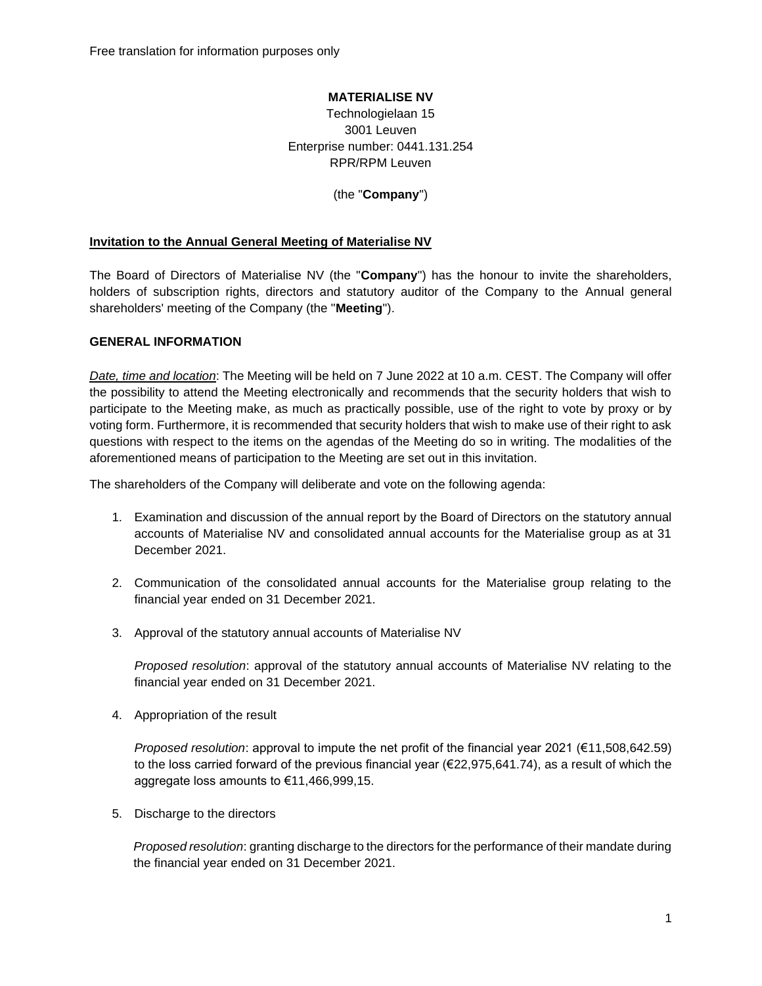Free translation for information purposes only

#### **MATERIALISE NV**

Technologielaan 15 3001 Leuven Enterprise number: 0441.131.254 RPR/RPM Leuven

(the "**Company**")

#### **Invitation to the Annual General Meeting of Materialise NV**

The Board of Directors of Materialise NV (the "**Company**") has the honour to invite the shareholders, holders of subscription rights, directors and statutory auditor of the Company to the Annual general shareholders' meeting of the Company (the "**Meeting**").

#### **GENERAL INFORMATION**

*Date, time and location*: The Meeting will be held on 7 June 2022 at 10 a.m. CEST. The Company will offer the possibility to attend the Meeting electronically and recommends that the security holders that wish to participate to the Meeting make, as much as practically possible, use of the right to vote by proxy or by voting form. Furthermore, it is recommended that security holders that wish to make use of their right to ask questions with respect to the items on the agendas of the Meeting do so in writing. The modalities of the aforementioned means of participation to the Meeting are set out in this invitation.

The shareholders of the Company will deliberate and vote on the following agenda:

- 1. Examination and discussion of the annual report by the Board of Directors on the statutory annual accounts of Materialise NV and consolidated annual accounts for the Materialise group as at 31 December 2021.
- 2. Communication of the consolidated annual accounts for the Materialise group relating to the financial year ended on 31 December 2021.
- 3. Approval of the statutory annual accounts of Materialise NV

*Proposed resolution*: approval of the statutory annual accounts of Materialise NV relating to the financial year ended on 31 December 2021.

4. Appropriation of the result

*Proposed resolution*: approval to impute the net profit of the financial year 2021 (€11,508,642.59) to the loss carried forward of the previous financial year (€22,975,641.74), as a result of which the aggregate loss amounts to €11,466,999,15.

5. Discharge to the directors

*Proposed resolution*: granting discharge to the directors for the performance of their mandate during the financial year ended on 31 December 2021.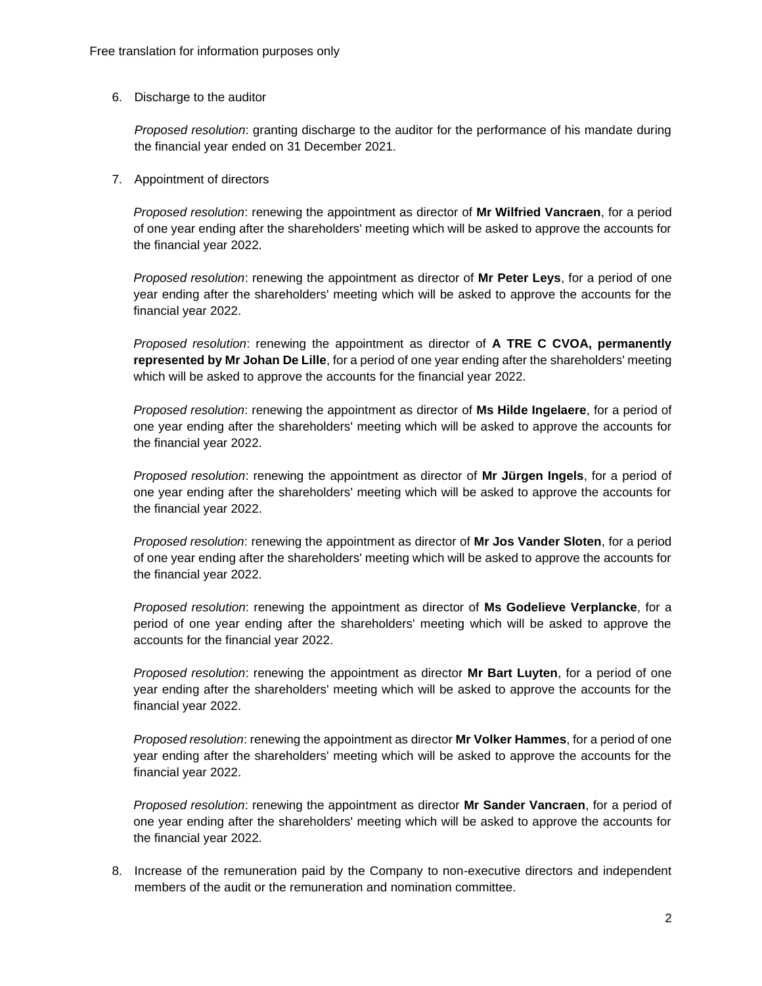6. Discharge to the auditor

*Proposed resolution*: granting discharge to the auditor for the performance of his mandate during the financial year ended on 31 December 2021.

7. Appointment of directors

*Proposed resolution*: renewing the appointment as director of **Mr Wilfried Vancraen**, for a period of one year ending after the shareholders' meeting which will be asked to approve the accounts for the financial year 2022.

*Proposed resolution*: renewing the appointment as director of **Mr Peter Leys**, for a period of one year ending after the shareholders' meeting which will be asked to approve the accounts for the financial year 2022.

*Proposed resolution*: renewing the appointment as director of **A TRE C CVOA, permanently represented by Mr Johan De Lille**, for a period of one year ending after the shareholders' meeting which will be asked to approve the accounts for the financial year 2022.

*Proposed resolution*: renewing the appointment as director of **Ms Hilde Ingelaere**, for a period of one year ending after the shareholders' meeting which will be asked to approve the accounts for the financial year 2022.

*Proposed resolution*: renewing the appointment as director of **Mr Jürgen Ingels**, for a period of one year ending after the shareholders' meeting which will be asked to approve the accounts for the financial year 2022.

*Proposed resolution*: renewing the appointment as director of **Mr Jos Vander Sloten**, for a period of one year ending after the shareholders' meeting which will be asked to approve the accounts for the financial year 2022.

*Proposed resolution*: renewing the appointment as director of **Ms Godelieve Verplancke**, for a period of one year ending after the shareholders' meeting which will be asked to approve the accounts for the financial year 2022.

*Proposed resolution*: renewing the appointment as director **Mr Bart Luyten**, for a period of one year ending after the shareholders' meeting which will be asked to approve the accounts for the financial year 2022.

*Proposed resolution*: renewing the appointment as director **Mr Volker Hammes**, for a period of one year ending after the shareholders' meeting which will be asked to approve the accounts for the financial year 2022.

*Proposed resolution*: renewing the appointment as director **Mr Sander Vancraen**, for a period of one year ending after the shareholders' meeting which will be asked to approve the accounts for the financial year 2022.

8. Increase of the remuneration paid by the Company to non-executive directors and independent members of the audit or the remuneration and nomination committee.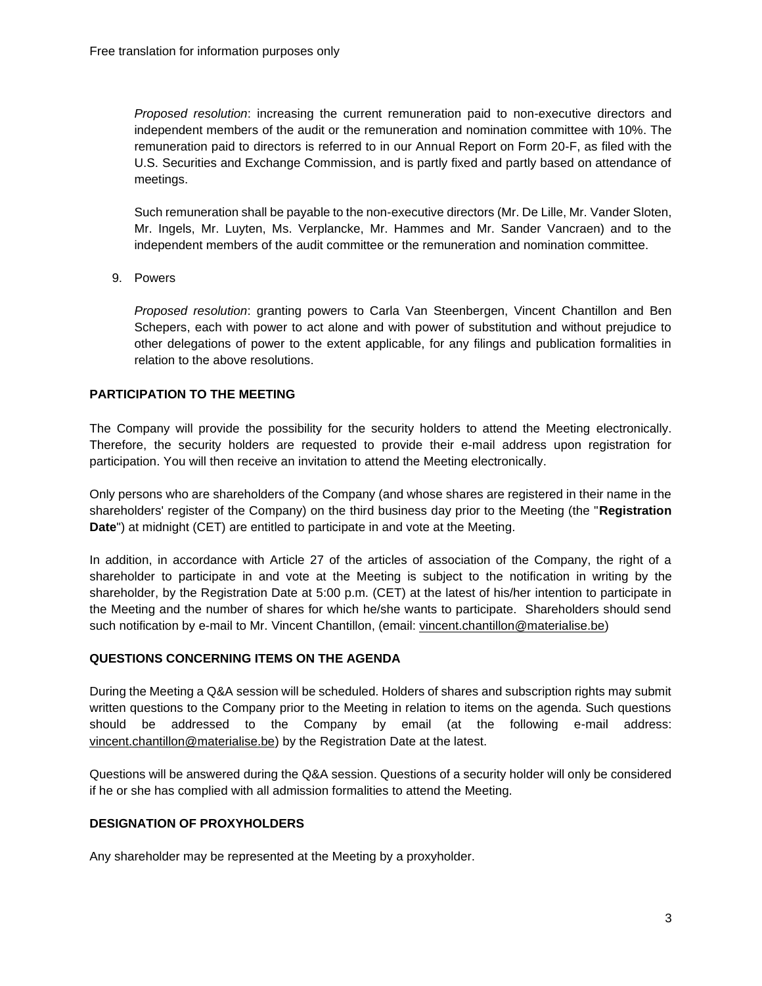*Proposed resolution*: increasing the current remuneration paid to non-executive directors and independent members of the audit or the remuneration and nomination committee with 10%. The remuneration paid to directors is referred to in our Annual Report on Form 20-F, as filed with the U.S. Securities and Exchange Commission, and is partly fixed and partly based on attendance of meetings.

Such remuneration shall be payable to the non-executive directors (Mr. De Lille, Mr. Vander Sloten, Mr. Ingels, Mr. Luyten, Ms. Verplancke, Mr. Hammes and Mr. Sander Vancraen) and to the independent members of the audit committee or the remuneration and nomination committee.

9. Powers

*Proposed resolution*: granting powers to Carla Van Steenbergen, Vincent Chantillon and Ben Schepers, each with power to act alone and with power of substitution and without prejudice to other delegations of power to the extent applicable, for any filings and publication formalities in relation to the above resolutions.

### **PARTICIPATION TO THE MEETING**

The Company will provide the possibility for the security holders to attend the Meeting electronically. Therefore, the security holders are requested to provide their e-mail address upon registration for participation. You will then receive an invitation to attend the Meeting electronically.

Only persons who are shareholders of the Company (and whose shares are registered in their name in the shareholders' register of the Company) on the third business day prior to the Meeting (the "**Registration Date**") at midnight (CET) are entitled to participate in and vote at the Meeting.

In addition, in accordance with Article 27 of the articles of association of the Company, the right of a shareholder to participate in and vote at the Meeting is subject to the notification in writing by the shareholder, by the Registration Date at 5:00 p.m. (CET) at the latest of his/her intention to participate in the Meeting and the number of shares for which he/she wants to participate. Shareholders should send such notification by e-mail to Mr. Vincent Chantillon, (email: [vincent.chantillon@materialise.be\)](mailto:vincent.chantillon@materialise.be)

### **QUESTIONS CONCERNING ITEMS ON THE AGENDA**

During the Meeting a Q&A session will be scheduled. Holders of shares and subscription rights may submit written questions to the Company prior to the Meeting in relation to items on the agenda. Such questions should be addressed to the Company by email (at the following e-mail address: [vincent.chantillon@materialise.be\)](mailto:vincent.chantillon@materialise.be) by the Registration Date at the latest.

Questions will be answered during the Q&A session. Questions of a security holder will only be considered if he or she has complied with all admission formalities to attend the Meeting.

### **DESIGNATION OF PROXYHOLDERS**

Any shareholder may be represented at the Meeting by a proxyholder.